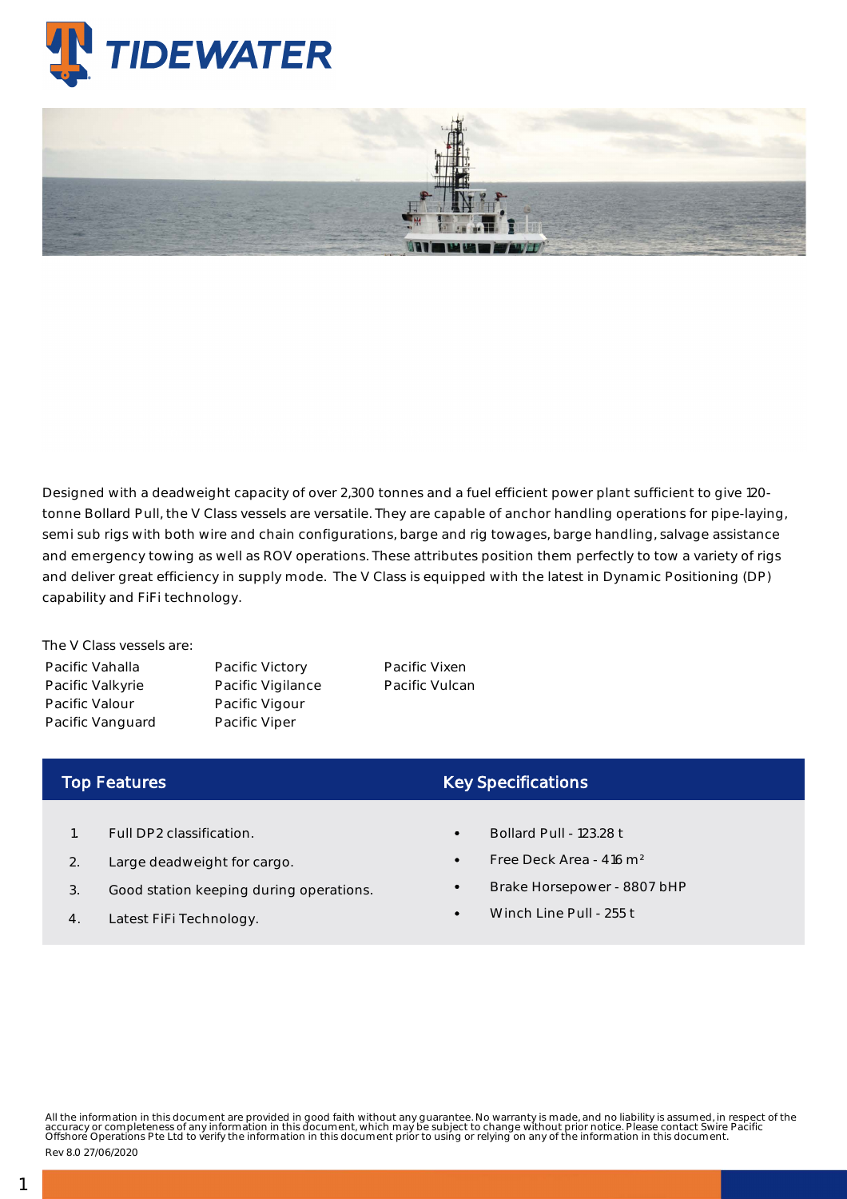

Designed with a deadweight capacity of over 2,300 tonnes and a fuel efficient power plant sufficient to give 120 tonne Bollard Pull, the V Class vessels are versatile. They are capable of anchor handling operations for pipe-laying, semi sub rigs with both wire and chain configurations, barge and rig towages, barge handling, salvage assistance and emergency towing as well as ROV operations. These attributes position them perfectly to tow a variety of rigs and deliver great efficiency in supply mode. The V Class is equipped with the latest in Dynamic Positioning (DP) capability and FiFi technology.

The V Class vessels are: Pacific Vahalla Pacific Valkyrie Pacific Valour

Pacific Vanguard

Pacific Victory Pacific Vigilance Pacific Vigour Pacific Viper

Pacific Vixen Pacific Vulcan

## Top Features

- 1. Full DP2 classification.
- 2. Large deadweight for cargo.
- 3. Good station keeping during operations.
- 4. Latest FiFi Technology.

## Key Specifications

- Bollard Pull 123.28 t
- Free Deck Area 416 m²
- Brake Horsepower 8807 bHP
- Winch Line Pull 255 t

All the information in this document are provided in good faith without any guarantee. No warranty is made, and no liability is assumed, in respect of the<br>accuracy or completeness of any information in this document, which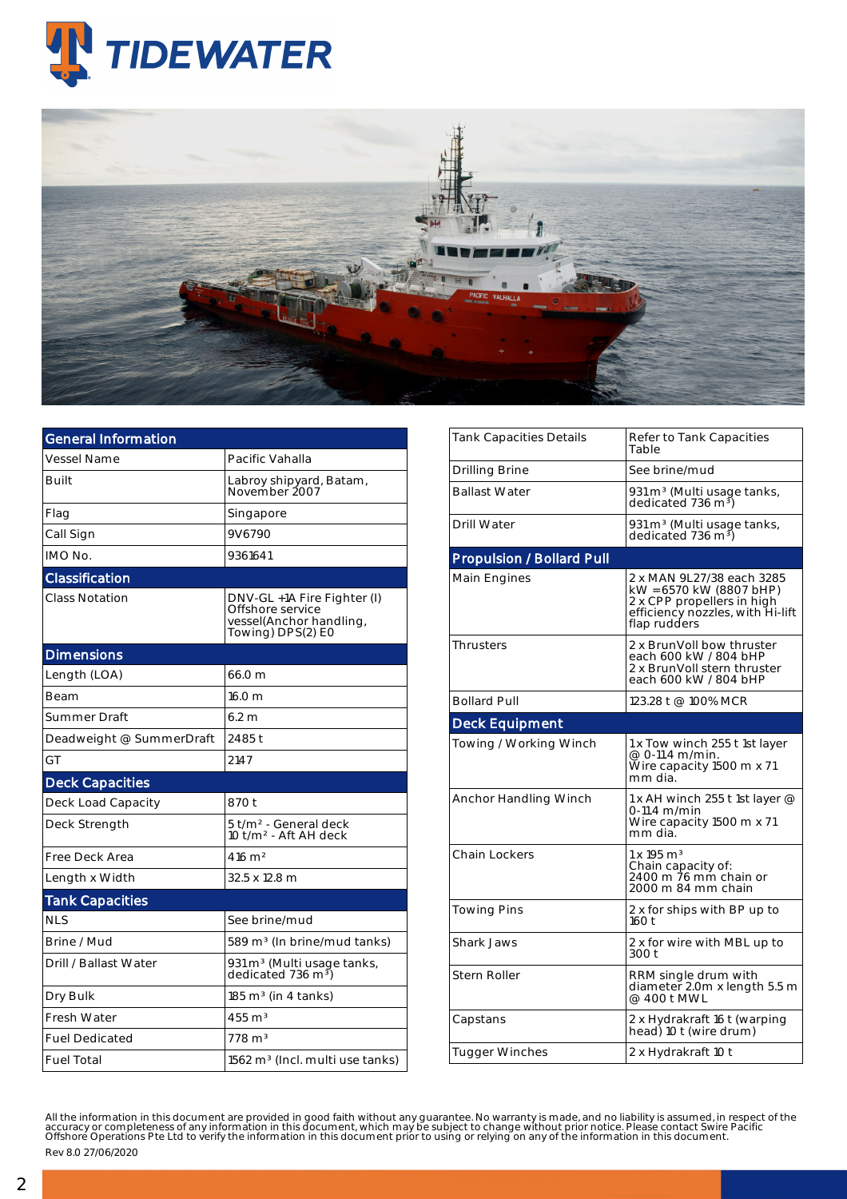



| <b>General Information</b> |                                                                                                 |  |  |  |  |  |
|----------------------------|-------------------------------------------------------------------------------------------------|--|--|--|--|--|
| <b>Vessel Name</b>         | Pacific Vahalla                                                                                 |  |  |  |  |  |
| <b>Built</b>               | Labroy shipyard, Batam,<br>November 2007                                                        |  |  |  |  |  |
| Flag                       | Singapore                                                                                       |  |  |  |  |  |
| Call Sign                  | 9V6790                                                                                          |  |  |  |  |  |
| IMO No.                    | 9361641                                                                                         |  |  |  |  |  |
| Classification             |                                                                                                 |  |  |  |  |  |
| Class Notation             | DNV-GL +1A Fire Fighter (I)<br>Offshore service<br>vessel(Anchor handling,<br>Towing) DPS(2) E0 |  |  |  |  |  |
| <b>Dimensions</b>          |                                                                                                 |  |  |  |  |  |
| Length (LOA)               | 66.0 m                                                                                          |  |  |  |  |  |
| Beam                       | 16.0 <sub>m</sub>                                                                               |  |  |  |  |  |
| Summer Draft               | 6.2 m                                                                                           |  |  |  |  |  |
| Deadweight @ SummerDraft   | 2485 t                                                                                          |  |  |  |  |  |
| GT                         | 2147                                                                                            |  |  |  |  |  |
| <b>Deck Capacities</b>     |                                                                                                 |  |  |  |  |  |
| Deck Load Capacity         | 870 t                                                                                           |  |  |  |  |  |
| Deck Strength              | 5 t/m <sup>2</sup> - General deck<br>10 t/m <sup>2</sup> - Aft AH deck                          |  |  |  |  |  |
| Free Deck Area             | 416 m <sup>2</sup>                                                                              |  |  |  |  |  |
| Length x Width             | 32.5 x 12.8 m                                                                                   |  |  |  |  |  |
| <b>Tank Capacities</b>     |                                                                                                 |  |  |  |  |  |
| <b>NLS</b>                 | See brine/mud                                                                                   |  |  |  |  |  |
| Brine / Mud                | 589 m <sup>3</sup> (In brine/mud tanks)                                                         |  |  |  |  |  |
| Drill / Ballast Water      | 931 m <sup>3</sup> (Multi usage tanks,<br>dedicated 736 m <sup>3</sup> )                        |  |  |  |  |  |
| Dry Bulk                   | $185 \text{ m}^3$ (in 4 tanks)                                                                  |  |  |  |  |  |
| <b>Fresh Water</b>         | $455 \text{ m}^3$                                                                               |  |  |  |  |  |
| <b>Fuel Dedicated</b>      | $778 \text{ m}^3$                                                                               |  |  |  |  |  |
| <b>Fuel Total</b>          | 1562 m <sup>3</sup> (Incl. multi use tanks)                                                     |  |  |  |  |  |

| Tank Capacities Details   | Refer to Tank Capacities<br>Table                                                                                                      |  |  |  |  |
|---------------------------|----------------------------------------------------------------------------------------------------------------------------------------|--|--|--|--|
| <b>Drilling Brine</b>     | See brine/mud                                                                                                                          |  |  |  |  |
| <b>Ballast Water</b>      | 931 m <sup>3</sup> (Multi usage tanks,<br>dedicated 736 m <sup>3</sup> )                                                               |  |  |  |  |
| <b>Drill Water</b>        | 931 m <sup>3</sup> (Multi usage tanks,<br>dedicated 736 m <sup>3</sup> )                                                               |  |  |  |  |
| Propulsion / Bollard Pull |                                                                                                                                        |  |  |  |  |
| Main Engines              | 2 x MAN 9L27/38 each 3285<br>kW = 6570 kW (8807 bHP)<br>2 x CPP propellers in high<br>efficiency nozzles, with Hi-lift<br>flap rudders |  |  |  |  |
| <b>Thrusters</b>          | 2 x BrunVoll bow thruster<br>each 600 kW / 804 bHP<br>2 x BrunVoll stern thruster<br>each 600 kW / 804 bHP                             |  |  |  |  |
| <b>Bollard Pull</b>       | 123.28 t @ 100% MCR                                                                                                                    |  |  |  |  |
| <b>Deck Equipment</b>     |                                                                                                                                        |  |  |  |  |
| Towing / Working Winch    | 1 x Tow winch 255 t 1st layer<br>@ 0-11.4 m/min.<br>Wire capacity 1500 m x 71<br>mm dia.                                               |  |  |  |  |
| Anchor Handling Winch     | 1 x AH winch 255 t 1st layer @<br>0-11.4 m/min<br>Wire capacity 1500 m x 71<br>mm dia.                                                 |  |  |  |  |
| <b>Chain Lockers</b>      | $1$ x 195 m $^3$<br>Chain capacity of:<br>2400 m 76 mm̃ chain or<br>2000 m 84 mm chain                                                 |  |  |  |  |
| <b>Towing Pins</b>        | 2 x for ships with BP up to<br>160t                                                                                                    |  |  |  |  |
| <b>Shark Jaws</b>         | 2 x for wire with MBL up to<br>300 t                                                                                                   |  |  |  |  |
| Stern Roller              | RRM single drum with<br>diameter 2.0m x length 5.5 m<br>@ 400 t MWL                                                                    |  |  |  |  |
| Capstans                  | 2 x Hydrakraft 16 t (warping<br>head) 10 t (wire drum)                                                                                 |  |  |  |  |
| <b>Tugger Winches</b>     | 2 x Hydrakraft 10 t                                                                                                                    |  |  |  |  |

All the information in this document are provided in good faith without any guarantee. No warranty is made, and no liability is assumed, in respect of the<br>accuracy or completeness of any information in this document, which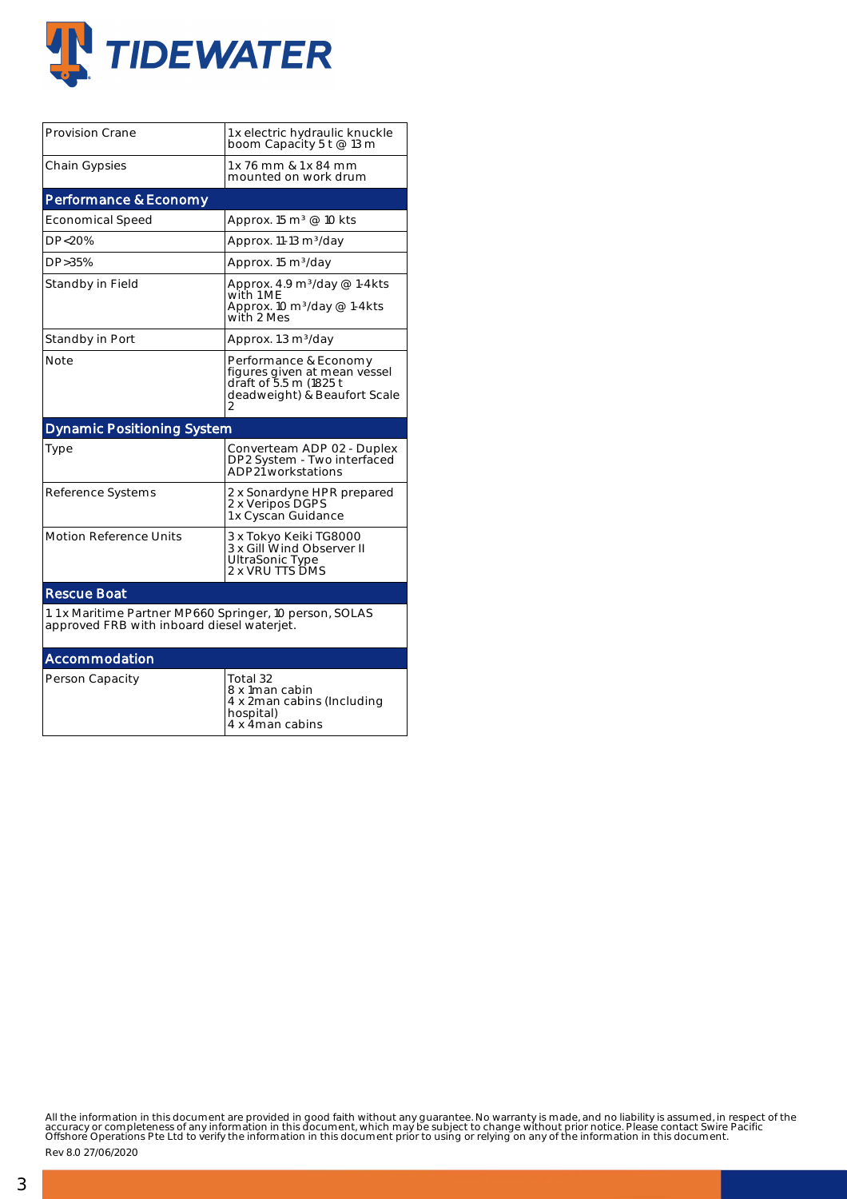

| <b>Provision Crane</b>                                                                                | 1 x electric hydraulic knuckle<br>boom Capacı̇̃ty 5 t @ 13 m                                                    |  |  |  |  |  |  |
|-------------------------------------------------------------------------------------------------------|-----------------------------------------------------------------------------------------------------------------|--|--|--|--|--|--|
| <b>Chain Gypsies</b>                                                                                  | 1 x 76 mm & 1 x 84 mm<br>mounted on work drum                                                                   |  |  |  |  |  |  |
| Performance & Economy                                                                                 |                                                                                                                 |  |  |  |  |  |  |
| <b>Economical Speed</b>                                                                               | Approx. 15 m <sup>3</sup> @ 10 kts                                                                              |  |  |  |  |  |  |
| DP<20%                                                                                                | Approx. 11-13 m <sup>3</sup> /day                                                                               |  |  |  |  |  |  |
| DP > 35%                                                                                              | Approx. 15 m <sup>3</sup> /day                                                                                  |  |  |  |  |  |  |
| Standby in Field                                                                                      | Approx. 4.9 m <sup>3</sup> /day @ 1-4kts<br>with 1 ME<br>Approx. 10 $m^3$ /day @ 1-4kts<br>with 2 Mes           |  |  |  |  |  |  |
| Standby in Port                                                                                       | Approx. 1.3 m <sup>3</sup> /day                                                                                 |  |  |  |  |  |  |
| Note                                                                                                  | Performance & Economy<br>figures given at mean vessel<br>draft of 5.5 m (1825 t<br>deadweight) & Beaufort Scale |  |  |  |  |  |  |
| <b>Dynamic Positioning System</b>                                                                     |                                                                                                                 |  |  |  |  |  |  |
| Type                                                                                                  | Converteam ADP 02 - Duplex<br>DP2 System - Two interfaced<br>ADP21 workstations                                 |  |  |  |  |  |  |
| Reference Systems                                                                                     | 2 x Sonardyne HPR prepared<br>2 x Veripos DGPS<br>1 x Cyscan Guidance                                           |  |  |  |  |  |  |
| <b>Motion Reference Units</b>                                                                         | 3 x Tokyo Keiki TG8000<br>3 x Gill Wind Observer II<br><b>UltraSonic Type</b><br>2 x VRU TTS DMS                |  |  |  |  |  |  |
| <b>Rescue Boat</b>                                                                                    |                                                                                                                 |  |  |  |  |  |  |
| 1.1 x Maritime Partner MP660 Springer, 10 person, SOLAS<br>approved FRB with inboard diesel waterjet. |                                                                                                                 |  |  |  |  |  |  |
| Accommodation                                                                                         |                                                                                                                 |  |  |  |  |  |  |
| Person Capacity                                                                                       | Total 32<br>8 x 1man cabin<br>4 x 2man cabins (Including<br>hospital)<br>4 x 4 man cabins                       |  |  |  |  |  |  |

All the information in this document are provided in good faith without any guarantee. No warranty is made, and no liability is assumed, in respect of the<br>accuracy or completeness of any information in this document, which